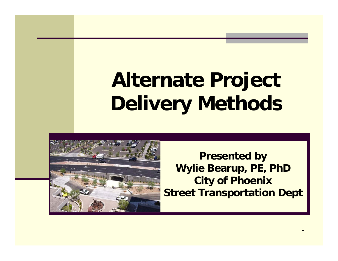#### **Alternate Project Deliver y Methods**



**Presented by Wylie Bearup, PE, PhD City of Phoenix Street Transportation Dept**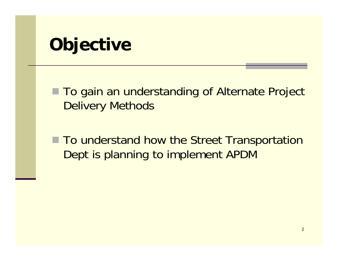#### **Objective**

■ To gain an understanding of Alternate Project Delivery Methods

■ To understand how the Street Transportation Dept is planning to implement APDM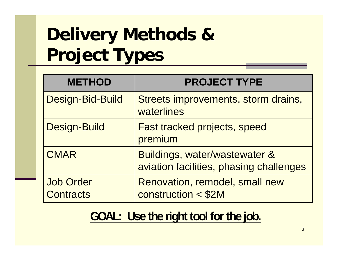# **Delivery Methods & Pro ject Types**

| <b>METHOD</b>                        | <b>PROJECT TYPE</b>                                                      |
|--------------------------------------|--------------------------------------------------------------------------|
| Design-Bid-Build                     | Streets improvements, storm drains,<br>waterlines                        |
| <b>Design-Build</b>                  | <b>Fast tracked projects, speed</b><br>premium                           |
| <b>CMAR</b>                          | Buildings, water/wastewater &<br>aviation facilities, phasing challenges |
| <b>Job Order</b><br><b>Contracts</b> | Renovation, remodel, small new<br>construction < \$2M                    |

#### <u> GOAL: Use the right tool for the job.</u>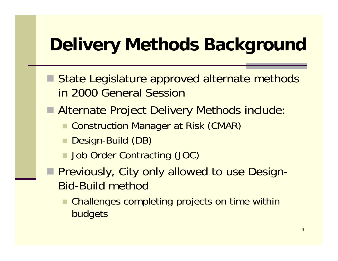## **Delivery Methods Background**

- State Legislature approved alternate methods in 2000 General Session
- Alternate Project Delivery Methods include:
	- **Construction Manager at Risk (CMAR)**
	- Design-Build (DB)
	- Job Order Contracting (JOC)
- **Previously, City only allowed to use Design-**Bid-Build method
	- F. Challenges completing projects on time within budgets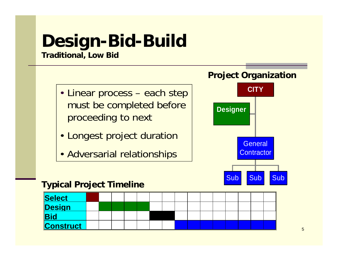# **Design-Bid-Build**

#### **Traditional, Low Bid**

- Linear process each step must be completed before proceeding to next
- Longest project duration and a consequence of  $\overline{\phantom{a}}$  General
- Adversarial relationships



#### **Typical Project Timeline**

| Select           |  |  |  |  |  |  |  |  |
|------------------|--|--|--|--|--|--|--|--|
| Design           |  |  |  |  |  |  |  |  |
| <b>Bid</b>       |  |  |  |  |  |  |  |  |
| <b>Construct</b> |  |  |  |  |  |  |  |  |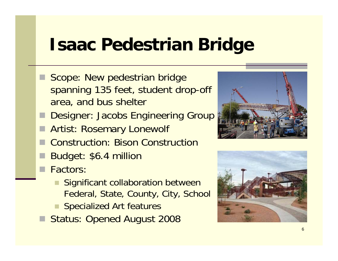### **Isaac Pedestrian Bridge Bridge**

- Scope: New pedestrian bridge spanning 135 feet, student drop-off area, and bus shelter
- Designer: Jacobs Engineering Group
- Artist: Rosemary Lonewolf
- Construction: Bison Construction
- Budget: \$6.4 million
- Factors:
	- **E** Significant collaboration between Federal, State, County, City, School
	- Specialized Art features
- Status: Opened August 2008



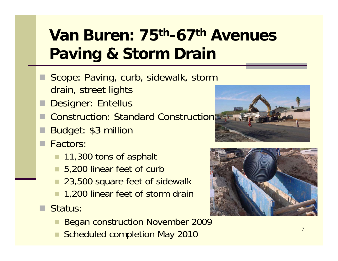## **Van Buren: 75th-67th Avenues Paving & Storm Drain**

- Scope: Paving, curb, sidewalk, storm drain, street lights
- Designer: Entellus
- Construction: Standard Construction
- Budget: \$3 million
- Factors:
	- 11,300 tons of asphalt
	- 5,200 linear feet of curb
	- 23,500 square feet of sidewalk
	- 1,200 linear feet of storm drain
- Status:
	- Began construction November 2009
	- Scheduled completion May 2010





7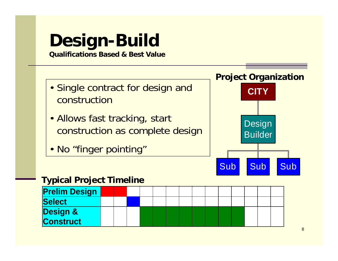# **Design-Build**

**Qualifications Based & Best Value**

- Single contract for design and construction
- Allows fast tracking, start construction as complete design
- No "finger pointing"



#### **Typical Project Timeline**

| <b>Prelim Design</b> |  |  |  |  |  |  |  |
|----------------------|--|--|--|--|--|--|--|
| Select               |  |  |  |  |  |  |  |
| <b>Design &amp;</b>  |  |  |  |  |  |  |  |
| <b>Construct</b>     |  |  |  |  |  |  |  |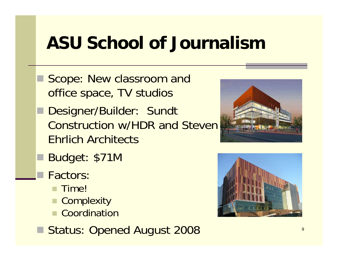### **ASU School of Journalism**

- Scope: New classroom and office space, TV studios
- Designer/Builder: Sundt Construction w/HDR and Steven Ehrlich Architects
- Budget: \$71M
	- Factors:
		- Time!
		- Complexity
		- Coordination
- Status: Opened August 2008



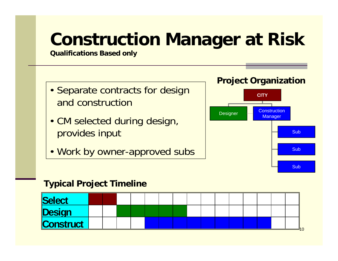# **Construction Mana ger at Risk**

**Qualifications Based only**

- Separate contracts for design and construction
- CM selected during design, provides input
- Work by owner-approved subs  $\begin{bmatrix} \begin{matrix} \begin{matrix} \end{matrix} \end{bmatrix} & \begin{matrix} \end{matrix} \end{bmatrix} \end{bmatrix}$





#### **Typical Project Timeline**

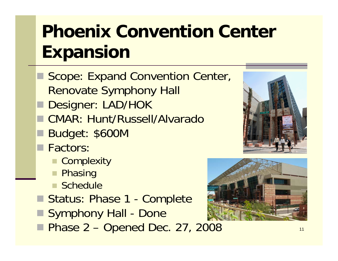# **Phoenix Convention Center E i xpans on**

- Scope: Expand Convention Center, Renovate Symphony Hall
- Designer: LAD/HOK
- CMAR: Hunt/Russell/Alvarado
- Budget: \$600M
- **Factors** 
	- Complexity
	- Phasing
	- Schedule
- Status: Phase 1 Complete
- Symphony Hall Done
- **Phase 2 Opened Dec. 27, 2008**



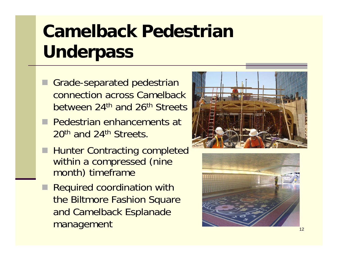# **Camelback Pedestrian Unde pass rpass**

- Grade-separated pedestrian connection across Camelback between 24th and 26th Streets
- **Pedestrian enhancements at** 20<sup>th</sup> and 24<sup>th</sup> Streets.
- Hunter Contracting completed within a compressed (nine month) timeframe
- **Required coordination with** the Biltmore Fashion Square and Camelback Esplanade management



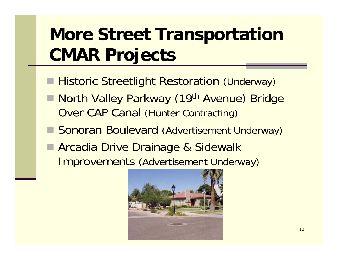# **More Street Transportation C j MAR Pro jects**

- **Historic Streetlight Restoration (Underway)**
- **North Valley Parkway (19th Avenue) Bridge Over CAP Canal (Hunter Contracting)**
- Sonoran Boulevard (Advertisement Underway)
- Arcadia Drive Drainage & Sidewalk Improvements (Advertisement Underway)

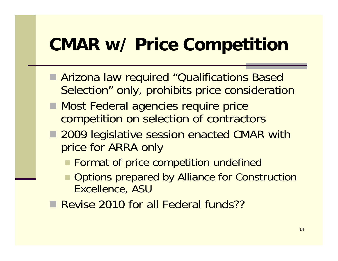### **CMAR w/ Price Competition**

- Arizona law required "Qualifications Based Selection" only, prohibits price consideration
- **Most Federal agencies require price** competition on selection of contractors
- 2009 legislative session enacted CMAR with price for ARRA only
	- **Format of price competition undefined**
	- Options prepared by Alliance for Construction Excellence, ASU
- Revise 2010 for all Federal funds??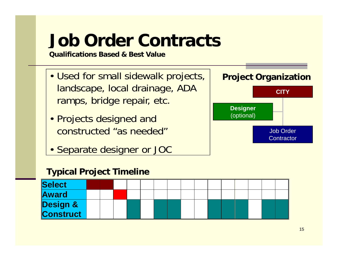# **Job Order Contracts**

**Qualifications Based & Best Value**

- Used for small sidewalk projects, landscape, local drainage, ADA ramps, bridge repair, etc.
- Projects designed and constructed "as needed"
- Separate designer or JOC

#### projects, **Project Or ganization j g**



#### **Typical Project Timeline**

| Select                |  |  |  |  |  |  |  |  |
|-----------------------|--|--|--|--|--|--|--|--|
| <b>Award</b>          |  |  |  |  |  |  |  |  |
| Design &<br>Construct |  |  |  |  |  |  |  |  |
|                       |  |  |  |  |  |  |  |  |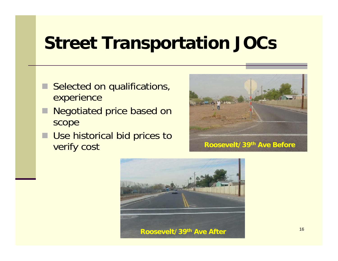#### **Street Transportation JOCs**

- Selected on qualifications, experience
- Negotiated price based on scope
- **Use historical bid prices to Verify COST Roosevelt/39<sup>th</sup> Ave Before**



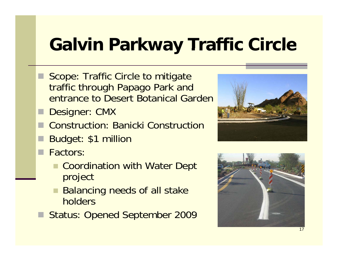# **Galvin Parkway Traffic Circle**

- Scope: Traffic Circle to mitigate traffic through Papago Park and entrance to Desert Botanical Garden
- **Designer: CMX**
- Construction: Banicki Construction
- Budget: \$1 million
- **Factors:** 
	- Coordination with Water Dept project
	- Balancing needs of all stake holders
- Status: Opened September 2009



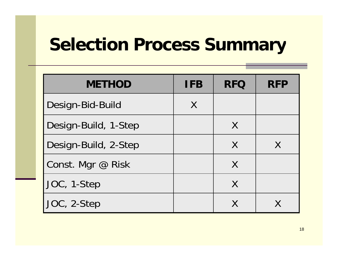## **Selection Process Summary**

| <b>METHOD</b>        | <b>IFB</b> | <b>RFQ</b> | <b>RFP</b> |
|----------------------|------------|------------|------------|
| Design-Bid-Build     | X          |            |            |
| Design-Build, 1-Step |            | X          |            |
| Design-Build, 2-Step |            | X          | X          |
| Const. Mgr @ Risk    |            | X          |            |
| JOC, 1-Step          |            | X          |            |
| JOC, 2-Step          |            |            |            |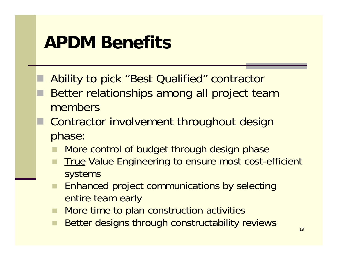#### **APDM Benefits**

- Ability to pick "Best Qualified" contractor
	- Better relationships among all project team members
- Contractor involvement throughout design phase:
	- More control of budget through design phase
	- True Value Engineering to ensure most cost-efficient systems
	- ٠ Enhanced project communications by selecting entire team early
	- . **E** More time to plan construction activities
	- Better designs through constructability reviews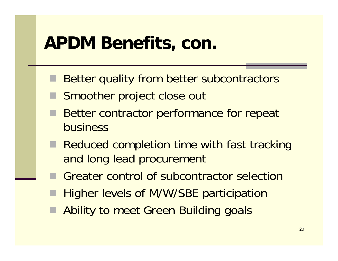#### **APDM Benefits, con.**

- Better quality from better subcontractors
- Smoother project close out
- Better contractor performance for repeat business
- **Reduced completion time with fast tracking** and long lead procurement
- F Greater control of subcontractor selection
- Higher levels of M/W/SBE participation
- **Ability to meet Green Building goals**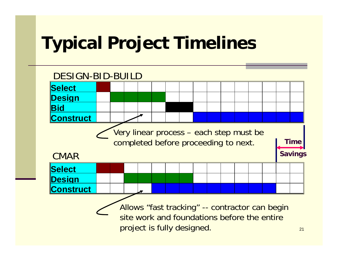## **Typical Project Timelines**

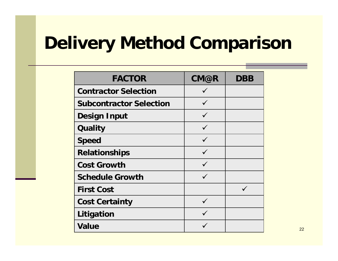## **Delivery Method Comparison**

| <b>FACTOR</b>                  | <b>CM@R</b>  | <b>DBB</b> |
|--------------------------------|--------------|------------|
| <b>Contractor Selection</b>    | $\checkmark$ |            |
| <b>Subcontractor Selection</b> |              |            |
| <b>Design Input</b>            | $\checkmark$ |            |
| <b>Quality</b>                 | $\checkmark$ |            |
| <b>Speed</b>                   | $\checkmark$ |            |
| <b>Relationships</b>           | $\checkmark$ |            |
| <b>Cost Growth</b>             |              |            |
| <b>Schedule Growth</b>         |              |            |
| <b>First Cost</b>              |              |            |
| <b>Cost Certainty</b>          | $\checkmark$ |            |
| Litigation                     |              |            |
| <b>Value</b>                   |              |            |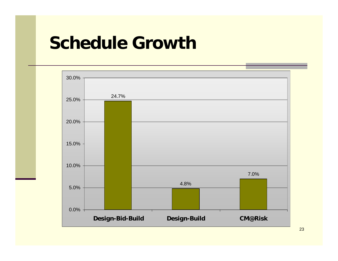#### **Schedule Growth**



23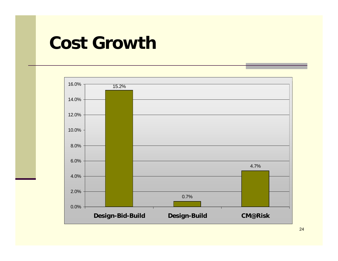#### **Cost Growth**

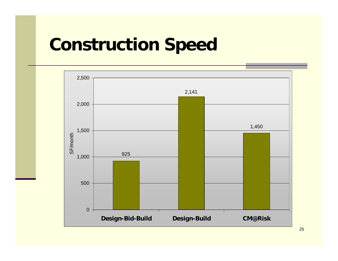#### **Construction Speed**



25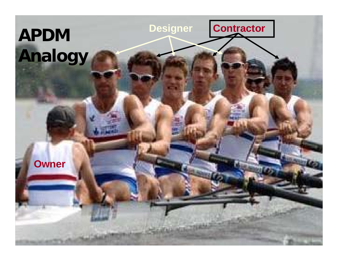# **Contractor APDM Designer Analogy Owner**